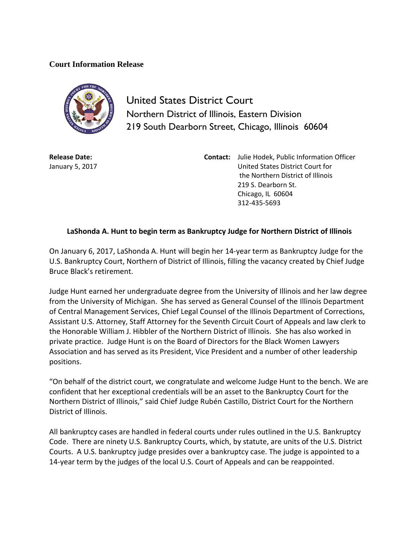## **Court Information Release**



United States District Court Northern District of Illinois, Eastern Division 219 South Dearborn Street, Chicago, Illinois 60604

**Release Date:** January 5, 2017

**Contact:** Julie Hodek, Public Information Officer United States District Court for the Northern District of Illinois 219 S. Dearborn St. Chicago, IL 60604 312-435-5693

## **LaShonda A. Hunt to begin term as Bankruptcy Judge for Northern District of Illinois**

On January 6, 2017, LaShonda A. Hunt will begin her 14-year term as Bankruptcy Judge for the U.S. Bankruptcy Court, Northern of District of Illinois, filling the vacancy created by Chief Judge Bruce Black's retirement.

Judge Hunt earned her undergraduate degree from the University of Illinois and her law degree from the University of Michigan. She has served as General Counsel of the Illinois Department of Central Management Services, Chief Legal Counsel of the Illinois Department of Corrections, Assistant U.S. Attorney, Staff Attorney for the Seventh Circuit Court of Appeals and law clerk to the Honorable William J. Hibbler of the Northern District of Illinois. She has also worked in private practice. Judge Hunt is on the Board of Directors for the Black Women Lawyers Association and has served as its President, Vice President and a number of other leadership positions.

"On behalf of the district court, we congratulate and welcome Judge Hunt to the bench. We are confident that her exceptional credentials will be an asset to the Bankruptcy Court for the Northern District of Illinois," said Chief Judge Rubén Castillo, District Court for the Northern District of Illinois.

All bankruptcy cases are handled in federal courts under rules outlined in the U.S. Bankruptcy Code. There are ninety U.S. Bankruptcy Courts, which, by statute, are units of the U.S. District Courts. A U.S. bankruptcy judge presides over a bankruptcy case. The judge is appointed to a 14-year term by the judges of the local U.S. Court of Appeals and can be reappointed.